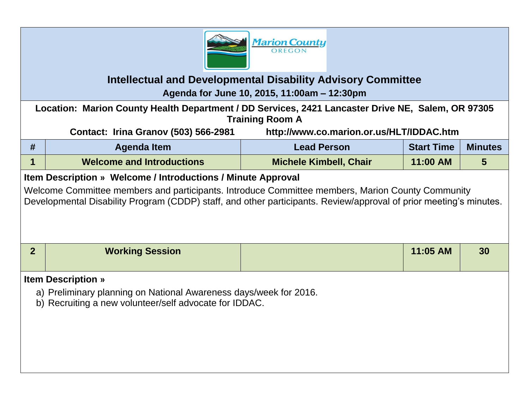

## **Intellectual and Developmental Disability Advisory Committee**

**Agenda for June 10, 2015, 11:00am – 12:30pm**

**Location: Marion County Health Department / DD Services, 2421 Lancaster Drive NE, Salem, OR 97305 Training Room A**

**Contact: Irina Granov (503) 566-2981 http://www.co.marion.or.us/HLT/IDDAC.htm**

| # | Agenda Item                                                 | <b>Lead Person</b>            | <b>Start Time</b> | <b>Minutes</b> |
|---|-------------------------------------------------------------|-------------------------------|-------------------|----------------|
|   | <b>Welcome and Introductions</b>                            | <b>Michele Kimbell, Chair</b> | 11:00 AM          |                |
|   | tem Description » Welcome / Introductions / Minute Annroyal |                               |                   |                |

## **Item Description » Welcome / Introductions / Minute Approval**

Welcome Committee members and participants. Introduce Committee members, Marion County Community Developmental Disability Program (CDDP) staff, and other participants. Review/approval of prior meeting's minutes.

| <b>Working Session</b> | 11:05 AM | 30 |
|------------------------|----------|----|
|                        |          |    |

## **Item Description »**

- a) Preliminary planning on National Awareness days/week for 2016.
- b) Recruiting a new volunteer/self advocate for IDDAC.